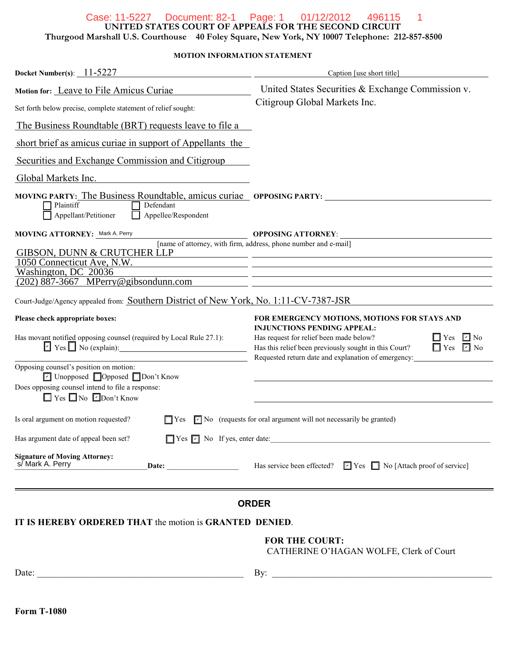#### Case: 11-5227 Document: 82-1 Page: 1 01/12/2012 496115 1

**UNITED STATES COURT OF APPEALS FOR THE SECOND CIRCUIT**

**Thurgood Marshall U.S. Courthouse 40 Foley Square, New York, NY 10007 Telephone: 212-857-8500**

**MOTION INFORMATION STATEMENT**

| Docket Number(s): $11-5227$                                                                                                                                                                                                           | Caption [use short title]                                                                                                                                                                                                                     |  |
|---------------------------------------------------------------------------------------------------------------------------------------------------------------------------------------------------------------------------------------|-----------------------------------------------------------------------------------------------------------------------------------------------------------------------------------------------------------------------------------------------|--|
| Motion for: Leave to File Amicus Curiae                                                                                                                                                                                               | United States Securities & Exchange Commission v.                                                                                                                                                                                             |  |
| Set forth below precise, complete statement of relief sought:                                                                                                                                                                         | Citigroup Global Markets Inc.                                                                                                                                                                                                                 |  |
| The Business Roundtable (BRT) requests leave to file a                                                                                                                                                                                |                                                                                                                                                                                                                                               |  |
| short brief as amicus curiae in support of Appellants the                                                                                                                                                                             |                                                                                                                                                                                                                                               |  |
| Securities and Exchange Commission and Citigroup                                                                                                                                                                                      |                                                                                                                                                                                                                                               |  |
| Global Markets Inc.                                                                                                                                                                                                                   |                                                                                                                                                                                                                                               |  |
| <b>MOVING PARTY:</b> The Business Roundtable, amicus curiae opposing PARTY:<br>Plaintiff<br>Defendant<br>Appellee/Respondent<br>Appellant/Petitioner                                                                                  |                                                                                                                                                                                                                                               |  |
| MOVING ATTORNEY: Mark A. Perry                                                                                                                                                                                                        | <b>OPPOSING ATTORNEY:</b>                                                                                                                                                                                                                     |  |
| <b>GIBSON, DUNN &amp; CRUTCHER LLP</b>                                                                                                                                                                                                | [name of attorney, with firm, address, phone number and e-mail]<br><u> 1989 - Andrea Andrew Maria (h. 1989).</u>                                                                                                                              |  |
| 1050 Connecticut Ave, N.W.<br>Washington, DC 20036                                                                                                                                                                                    |                                                                                                                                                                                                                                               |  |
| $(202)$ 887-3667 MPerry@gibsondunn.com                                                                                                                                                                                                | <u> 1989 - John Stein, Amerikaansk politiker (* 1908)</u>                                                                                                                                                                                     |  |
| Court-Judge/Agency appealed from: Southern District of New York, No. 1:11-CV-7387-JSR                                                                                                                                                 |                                                                                                                                                                                                                                               |  |
| Please check appropriate boxes:                                                                                                                                                                                                       | FOR EMERGENCY MOTIONS, MOTIONS FOR STAYS AND                                                                                                                                                                                                  |  |
| Has movant notified opposing counsel (required by Local Rule 27.1):<br>$\triangleright$ Yes $\blacksquare$ No (explain):                                                                                                              | <b>INJUNCTIONS PENDING APPEAL:</b><br>Has request for relief been made below?<br>$\Box$ Yes $\Box$ No<br>$\Box$ Yes $\Box$ No<br>Has this relief been previously sought in this Court?<br>Requested return date and explanation of emergency: |  |
| Opposing counsel's position on motion:<br>$\boxed{\mathsf{c}}$ Unopposed $\boxed{\phantom{a}}$ Opposed $\boxed{\phantom{a}}$ Don't Know<br>Does opposing counsel intend to file a response:<br>$\Box$ Yes $\Box$ No $\Box$ Don't Know |                                                                                                                                                                                                                                               |  |
| Is oral argument on motion requested?<br>$\Box$ Yes                                                                                                                                                                                   | $\triangleright$ No (requests for oral argument will not necessarily be granted)                                                                                                                                                              |  |
| Has argument date of appeal been set?                                                                                                                                                                                                 | $\Box$ Yes $\Box$ No If yes, enter date:                                                                                                                                                                                                      |  |
| <b>Signature of Moving Attorney:</b><br>s/Mark A. Perry                                                                                                                                                                               | <b>Date:</b> Has service been effected? $\boxed{\phantom{1}}$ Yes $\boxed{\phantom{1}}$ No [Attach proof of service]                                                                                                                          |  |
|                                                                                                                                                                                                                                       | <b>ORDER</b>                                                                                                                                                                                                                                  |  |
| IT IS HEREBY ORDERED THAT the motion is GRANTED DENIED.                                                                                                                                                                               |                                                                                                                                                                                                                                               |  |
|                                                                                                                                                                                                                                       | <b>FOR THE COURT:</b><br>CATHERINE O'HAGAN WOLFE, Clerk of Court                                                                                                                                                                              |  |
|                                                                                                                                                                                                                                       |                                                                                                                                                                                                                                               |  |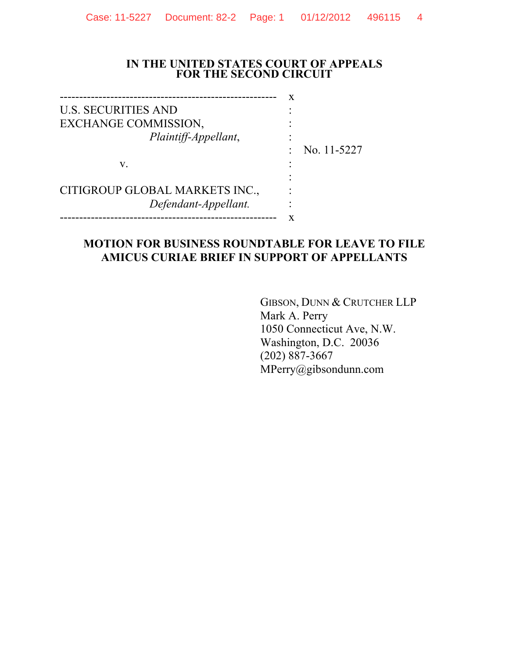#### **IN THE UNITED STATES COURT OF APPEALS FOR THE SECOND CIRCUIT**

-------------------------------------------------------- x U.S. SECURITIES AND EXCHANGE COMMISSION, *Plaintiff-Appellant*,

: No. 11-5227

: : :

: : : :

CITIGROUP GLOBAL MARKETS INC., *Defendant-Appellant.*

-------------------------------------------------------- x

v.

#### **MOTION FOR BUSINESS ROUNDTABLE FOR LEAVE TO FILE AMICUS CURIAE BRIEF IN SUPPORT OF APPELLANTS**

GIBSON, DUNN & CRUTCHER LLP Mark A. Perry 1050 Connecticut Ave, N.W. Washington, D.C. 20036 (202) 887-3667 MPerry@gibsondunn.com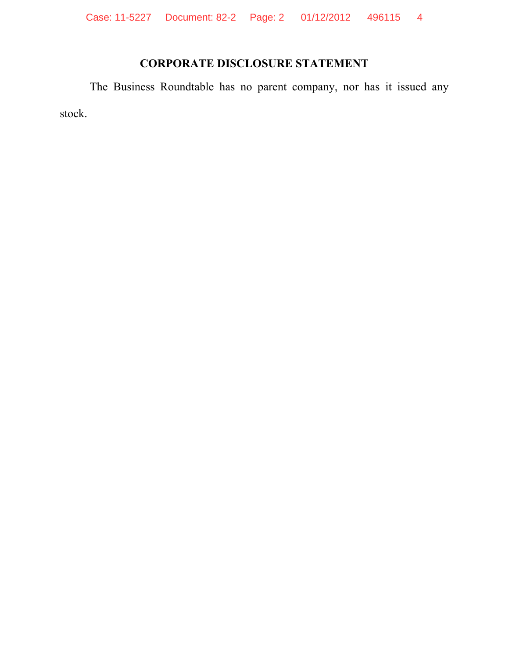Case: 11-5227 Document: 82-2 Page: 2 01/12/2012 496115 4

# **CORPORATE DISCLOSURE STATEMENT**

The Business Roundtable has no parent company, nor has it issued any stock.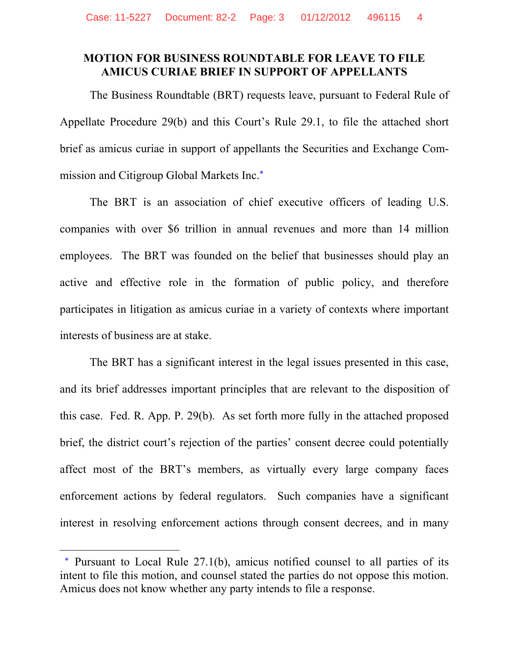#### **MOTION FOR BUSINESS ROUNDTABLE FOR LEAVE TO FILE AMICUS CURIAE BRIEF IN SUPPORT OF APPELLANTS**

The Business Roundtable (BRT) requests leave, pursuant to Federal Rule of Appellate Procedure 29(b) and this Court's Rule 29.1, to file the attached short brief as amicus curiae in support of appellants the Securities and Exchange Commission and Citigroup Global Markets Inc.\*

The BRT is an association of chief executive officers of leading U.S. companies with over \$6 trillion in annual revenues and more than 14 million employees. The BRT was founded on the belief that businesses should play an active and effective role in the formation of public policy, and therefore participates in litigation as amicus curiae in a variety of contexts where important interests of business are at stake.

The BRT has a significant interest in the legal issues presented in this case, and its brief addresses important principles that are relevant to the disposition of this case. Fed. R. App. P. 29(b). As set forth more fully in the attached proposed brief, the district court's rejection of the parties' consent decree could potentially affect most of the BRT's members, as virtually every large company faces enforcement actions by federal regulators. Such companies have a significant interest in resolving enforcement actions through consent decrees, and in many

 $\overline{a}$ 

<sup>\*</sup> Pursuant to Local Rule 27.1(b), amicus notified counsel to all parties of its intent to file this motion, and counsel stated the parties do not oppose this motion. Amicus does not know whether any party intends to file a response.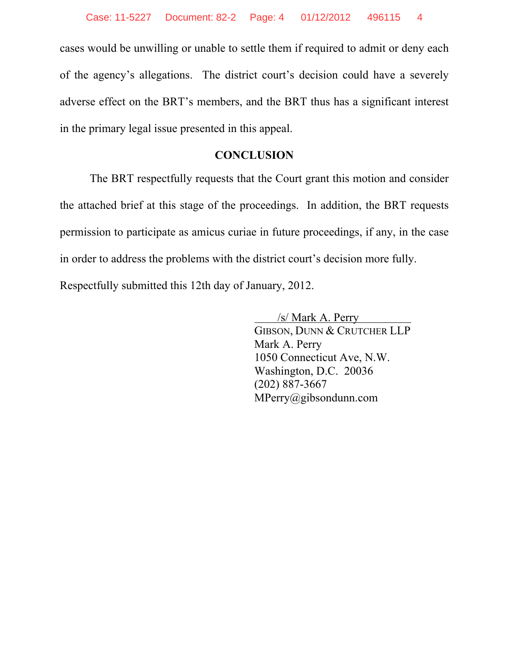cases would be unwilling or unable to settle them if required to admit or deny each of the agency's allegations. The district court's decision could have a severely adverse effect on the BRT's members, and the BRT thus has a significant interest in the primary legal issue presented in this appeal.

#### **CONCLUSION**

The BRT respectfully requests that the Court grant this motion and consider the attached brief at this stage of the proceedings. In addition, the BRT requests permission to participate as amicus curiae in future proceedings, if any, in the case in order to address the problems with the district court's decision more fully.

Respectfully submitted this 12th day of January, 2012.

 $/s$ / Mark A. Perry GIBSON, DUNN & CRUTCHER LLP Mark A. Perry 1050 Connecticut Ave, N.W. Washington, D.C. 20036 (202) 887-3667 MPerry@gibsondunn.com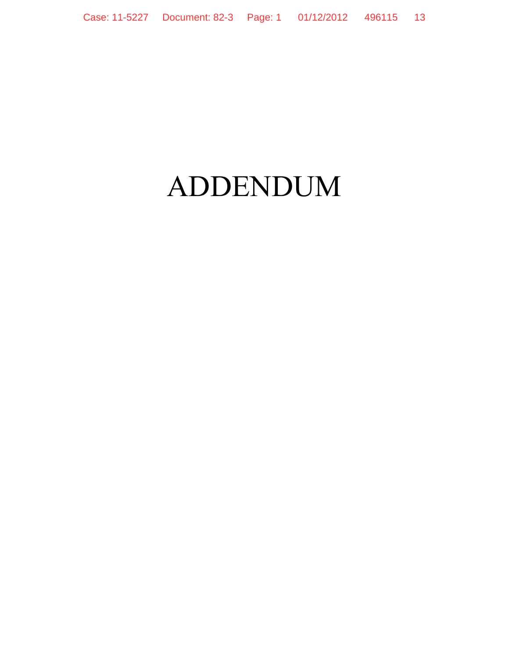# ADDENDUM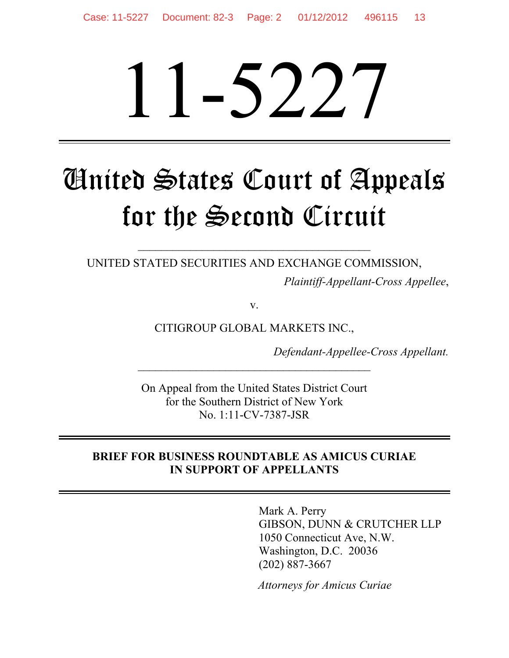# 11-5227

# United States Court of Appeals for the Second Circuit

UNITED STATED SECURITIES AND EXCHANGE COMMISSION,

\_\_\_\_\_\_\_\_\_\_\_\_\_\_\_\_\_\_\_\_\_\_\_\_\_\_\_\_\_\_\_\_\_\_\_\_\_\_\_\_

*Plaintiff-Appellant-Cross Appellee*,

v.

CITIGROUP GLOBAL MARKETS INC.,

*Defendant-Appellee-Cross Appellant.* 

On Appeal from the United States District Court for the Southern District of New York No. 1:11-CV-7387-JSR

# **BRIEF FOR BUSINESS ROUNDTABLE AS AMICUS CURIAE IN SUPPORT OF APPELLANTS**

Mark A. Perry GIBSON, DUNN & CRUTCHER LLP 1050 Connecticut Ave, N.W. Washington, D.C. 20036 (202) 887-3667

*Attorneys for Amicus Curiae*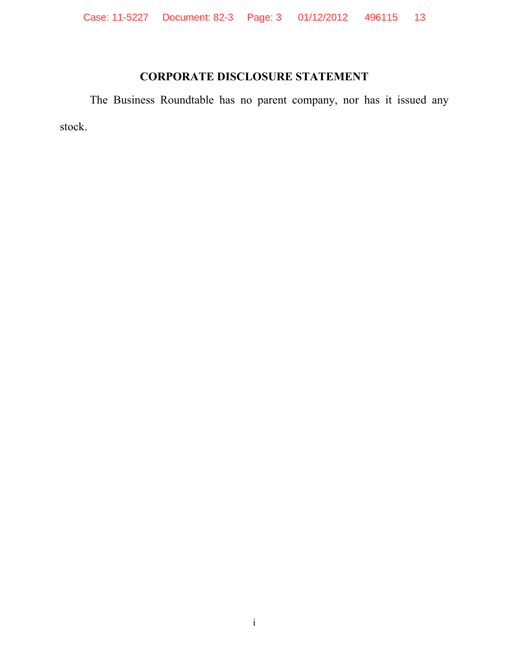# **CORPORATE DISCLOSURE STATEMENT**

The Business Roundtable has no parent company, nor has it issued any stock.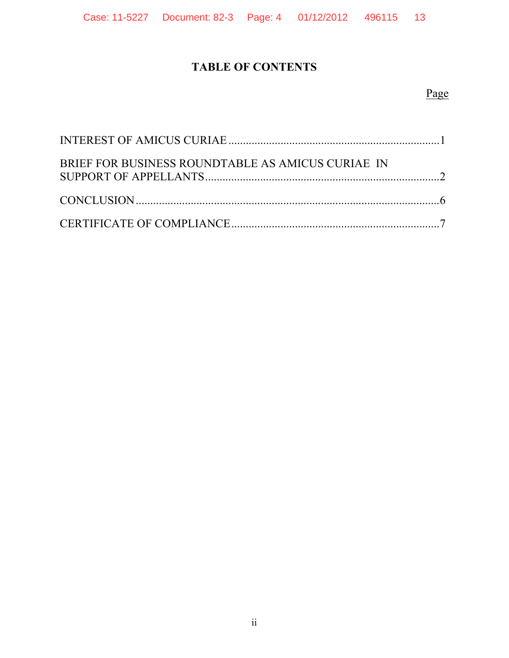# **TABLE OF CONTENTS**

# Page

| BRIEF FOR BUSINESS ROUNDTABLE AS AMICUS CURIAE IN |  |
|---------------------------------------------------|--|
|                                                   |  |
|                                                   |  |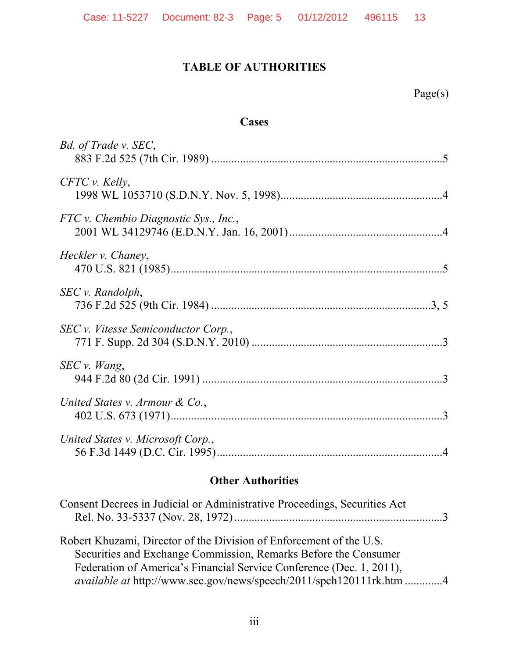# **TABLE OF AUTHORITIES**

# Page(s)

# **Cases**

| Bd. of Trade v. SEC,                  |
|---------------------------------------|
| $CFTC$ v. Kelly,                      |
| FTC v. Chembio Diagnostic Sys., Inc., |
| Heckler v. Chaney,                    |
| SEC v. Random,                        |
| SEC v. Vitesse Semiconductor Corp.,   |
| SEC v. Wang,                          |
| United States v. Armour $\&$ Co.,     |
| United States v. Microsoft Corp.,     |

# **Other Authorities**

| Consent Decrees in Judicial or Administrative Proceedings, Securities Act                                                                                                                                                                                                                    |  |
|----------------------------------------------------------------------------------------------------------------------------------------------------------------------------------------------------------------------------------------------------------------------------------------------|--|
| Robert Khuzami, Director of the Division of Enforcement of the U.S.<br>Securities and Exchange Commission, Remarks Before the Consumer<br>Federation of America's Financial Service Conference (Dec. 1, 2011),<br><i>available at http://www.sec.gov/news/speech/2011/spch120111rk.htm 4</i> |  |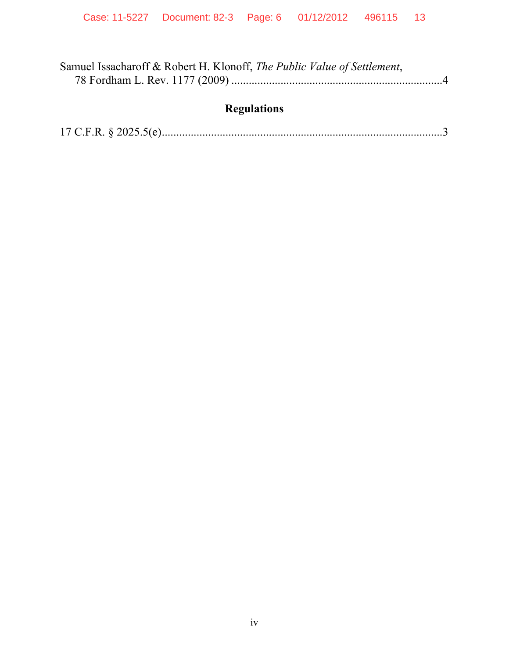| Samuel Issacharoff & Robert H. Klonoff, The Public Value of Settlement, |  |
|-------------------------------------------------------------------------|--|
|                                                                         |  |

# **Regulations**

|--|--|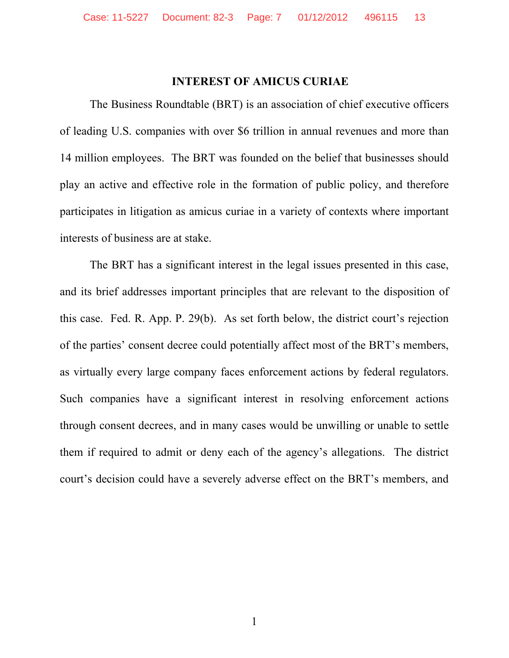#### **INTEREST OF AMICUS CURIAE**

The Business Roundtable (BRT) is an association of chief executive officers of leading U.S. companies with over \$6 trillion in annual revenues and more than 14 million employees. The BRT was founded on the belief that businesses should play an active and effective role in the formation of public policy, and therefore participates in litigation as amicus curiae in a variety of contexts where important interests of business are at stake.

The BRT has a significant interest in the legal issues presented in this case, and its brief addresses important principles that are relevant to the disposition of this case. Fed. R. App. P. 29(b). As set forth below, the district court's rejection of the parties' consent decree could potentially affect most of the BRT's members, as virtually every large company faces enforcement actions by federal regulators. Such companies have a significant interest in resolving enforcement actions through consent decrees, and in many cases would be unwilling or unable to settle them if required to admit or deny each of the agency's allegations. The district court's decision could have a severely adverse effect on the BRT's members, and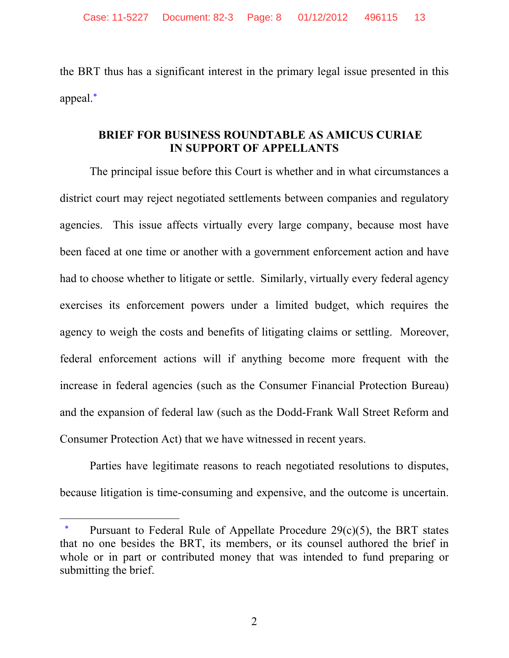the BRT thus has a significant interest in the primary legal issue presented in this appeal.\*

## **BRIEF FOR BUSINESS ROUNDTABLE AS AMICUS CURIAE IN SUPPORT OF APPELLANTS**

The principal issue before this Court is whether and in what circumstances a district court may reject negotiated settlements between companies and regulatory agencies. This issue affects virtually every large company, because most have been faced at one time or another with a government enforcement action and have had to choose whether to litigate or settle. Similarly, virtually every federal agency exercises its enforcement powers under a limited budget, which requires the agency to weigh the costs and benefits of litigating claims or settling. Moreover, federal enforcement actions will if anything become more frequent with the increase in federal agencies (such as the Consumer Financial Protection Bureau) and the expansion of federal law (such as the Dodd-Frank Wall Street Reform and Consumer Protection Act) that we have witnessed in recent years.

Parties have legitimate reasons to reach negotiated resolutions to disputes, because litigation is time-consuming and expensive, and the outcome is uncertain.

 $\overline{a}$ 

Pursuant to Federal Rule of Appellate Procedure  $29(c)(5)$ , the BRT states that no one besides the BRT, its members, or its counsel authored the brief in whole or in part or contributed money that was intended to fund preparing or submitting the brief.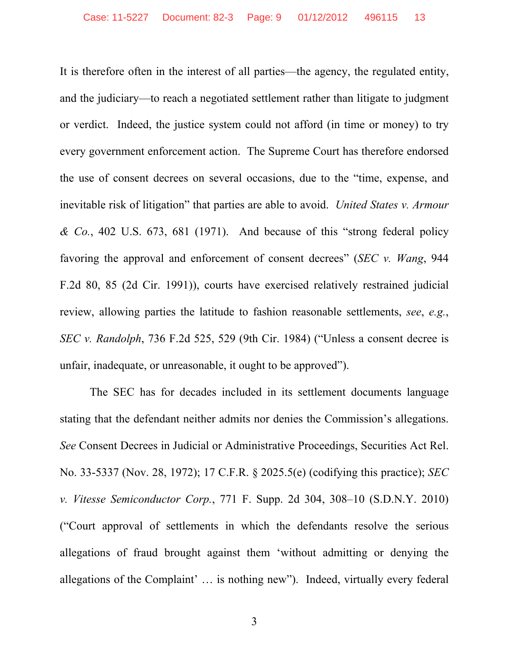It is therefore often in the interest of all parties—the agency, the regulated entity, and the judiciary—to reach a negotiated settlement rather than litigate to judgment or verdict. Indeed, the justice system could not afford (in time or money) to try every government enforcement action. The Supreme Court has therefore endorsed the use of consent decrees on several occasions, due to the "time, expense, and inevitable risk of litigation" that parties are able to avoid. *United States v. Armour & Co.*, 402 U.S. 673, 681 (1971). And because of this "strong federal policy favoring the approval and enforcement of consent decrees" (*SEC v. Wang*, 944 F.2d 80, 85 (2d Cir. 1991)), courts have exercised relatively restrained judicial review, allowing parties the latitude to fashion reasonable settlements, *see*, *e.g.*, *SEC v. Randolph*, 736 F.2d 525, 529 (9th Cir. 1984) ("Unless a consent decree is unfair, inadequate, or unreasonable, it ought to be approved").

The SEC has for decades included in its settlement documents language stating that the defendant neither admits nor denies the Commission's allegations. *See* Consent Decrees in Judicial or Administrative Proceedings, Securities Act Rel. No. 33-5337 (Nov. 28, 1972); 17 C.F.R. § 2025.5(e) (codifying this practice); *SEC v. Vitesse Semiconductor Corp.*, 771 F. Supp. 2d 304, 308–10 (S.D.N.Y. 2010) ("Court approval of settlements in which the defendants resolve the serious allegations of fraud brought against them 'without admitting or denying the allegations of the Complaint' … is nothing new"). Indeed, virtually every federal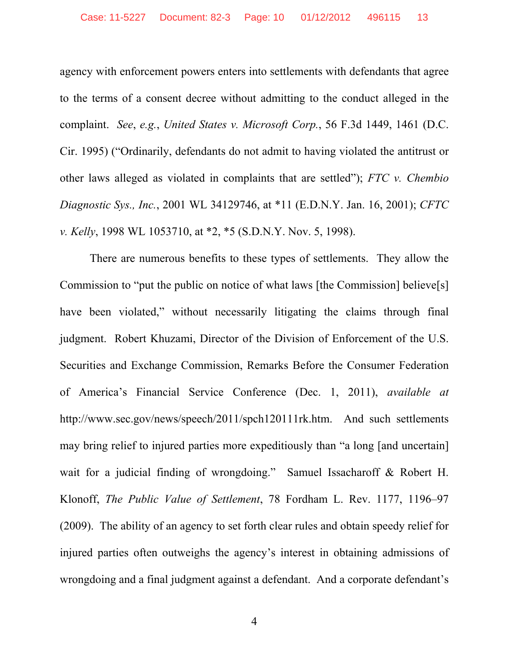agency with enforcement powers enters into settlements with defendants that agree to the terms of a consent decree without admitting to the conduct alleged in the complaint. *See*, *e.g.*, *United States v. Microsoft Corp.*, 56 F.3d 1449, 1461 (D.C. Cir. 1995) ("Ordinarily, defendants do not admit to having violated the antitrust or other laws alleged as violated in complaints that are settled"); *FTC v. Chembio Diagnostic Sys., Inc.*, 2001 WL 34129746, at \*11 (E.D.N.Y. Jan. 16, 2001); *CFTC v. Kelly*, 1998 WL 1053710, at \*2, \*5 (S.D.N.Y. Nov. 5, 1998).

There are numerous benefits to these types of settlements. They allow the Commission to "put the public on notice of what laws [the Commission] believe[s] have been violated," without necessarily litigating the claims through final judgment. Robert Khuzami, Director of the Division of Enforcement of the U.S. Securities and Exchange Commission, Remarks Before the Consumer Federation of America's Financial Service Conference (Dec. 1, 2011), *available at*  http://www.sec.gov/news/speech/2011/spch120111rk.htm. And such settlements may bring relief to injured parties more expeditiously than "a long [and uncertain] wait for a judicial finding of wrongdoing." Samuel Issacharoff & Robert H. Klonoff, *The Public Value of Settlement*, 78 Fordham L. Rev. 1177, 1196–97 (2009). The ability of an agency to set forth clear rules and obtain speedy relief for injured parties often outweighs the agency's interest in obtaining admissions of wrongdoing and a final judgment against a defendant. And a corporate defendant's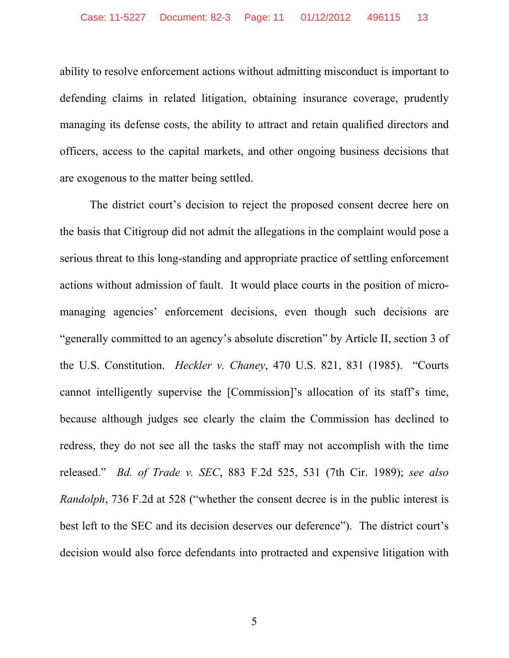ability to resolve enforcement actions without admitting misconduct is important to defending claims in related litigation, obtaining insurance coverage, prudently managing its defense costs, the ability to attract and retain qualified directors and officers, access to the capital markets, and other ongoing business decisions that are exogenous to the matter being settled.

The district court's decision to reject the proposed consent decree here on the basis that Citigroup did not admit the allegations in the complaint would pose a serious threat to this long-standing and appropriate practice of settling enforcement actions without admission of fault. It would place courts in the position of micromanaging agencies' enforcement decisions, even though such decisions are "generally committed to an agency's absolute discretion" by Article II, section 3 of the U.S. Constitution. *Heckler v. Chaney*, 470 U.S. 821, 831 (1985). "Courts cannot intelligently supervise the [Commission]'s allocation of its staff's time, because although judges see clearly the claim the Commission has declined to redress, they do not see all the tasks the staff may not accomplish with the time released." *Bd. of Trade v. SEC*, 883 F.2d 525, 531 (7th Cir. 1989); *see also Randolph*, 736 F.2d at 528 ("whether the consent decree is in the public interest is best left to the SEC and its decision deserves our deference"). The district court's decision would also force defendants into protracted and expensive litigation with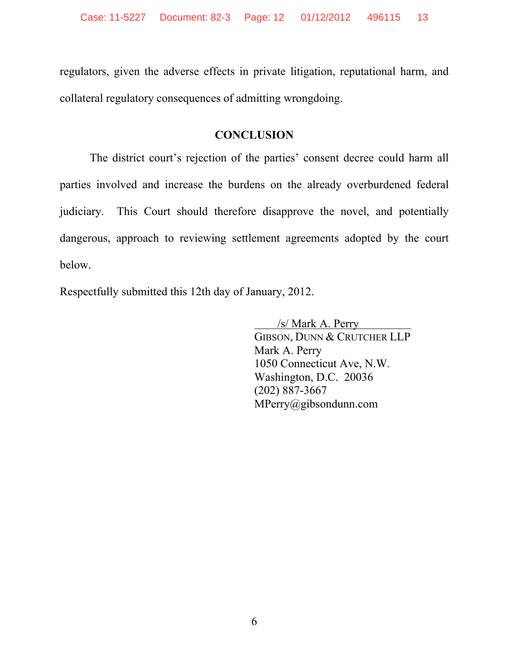regulators, given the adverse effects in private litigation, reputational harm, and collateral regulatory consequences of admitting wrongdoing.

# **CONCLUSION**

The district court's rejection of the parties' consent decree could harm all parties involved and increase the burdens on the already overburdened federal judiciary. This Court should therefore disapprove the novel, and potentially dangerous, approach to reviewing settlement agreements adopted by the court below.

Respectfully submitted this 12th day of January, 2012.

 /s/ Mark A. Perry \_ GIBSON, DUNN & CRUTCHER LLP Mark A. Perry 1050 Connecticut Ave, N.W. Washington, D.C. 20036 (202) 887-3667 MPerry@gibsondunn.com